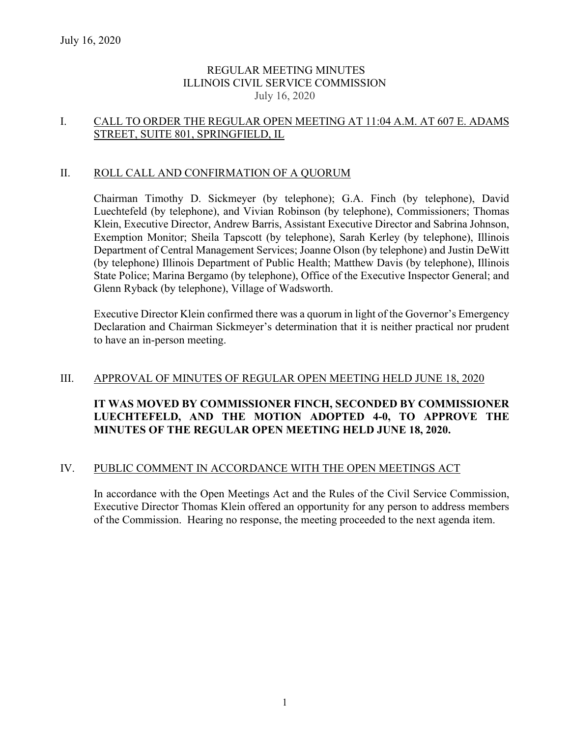# REGULAR MEETING MINUTES ILLINOIS CIVIL SERVICE COMMISSION July 16, 2020

## I. CALL TO ORDER THE REGULAR OPEN MEETING AT 11:04 A.M. AT 607 E. ADAMS STREET, SUITE 801, SPRINGFIELD, IL

## II. ROLL CALL AND CONFIRMATION OF A QUORUM

Chairman Timothy D. Sickmeyer (by telephone); G.A. Finch (by telephone), David Luechtefeld (by telephone), and Vivian Robinson (by telephone), Commissioners; Thomas Klein, Executive Director, Andrew Barris, Assistant Executive Director and Sabrina Johnson, Exemption Monitor; Sheila Tapscott (by telephone), Sarah Kerley (by telephone), Illinois Department of Central Management Services; Joanne Olson (by telephone) and Justin DeWitt (by telephone) Illinois Department of Public Health; Matthew Davis (by telephone), Illinois State Police; Marina Bergamo (by telephone), Office of the Executive Inspector General; and Glenn Ryback (by telephone), Village of Wadsworth.

Executive Director Klein confirmed there was a quorum in light of the Governor's Emergency Declaration and Chairman Sickmeyer's determination that it is neither practical nor prudent to have an in-person meeting.

### III. APPROVAL OF MINUTES OF REGULAR OPEN MEETING HELD JUNE 18, 2020

# **IT WAS MOVED BY COMMISSIONER FINCH, SECONDED BY COMMISSIONER LUECHTEFELD, AND THE MOTION ADOPTED 4-0, TO APPROVE THE MINUTES OF THE REGULAR OPEN MEETING HELD JUNE 18, 2020.**

### IV. PUBLIC COMMENT IN ACCORDANCE WITH THE OPEN MEETINGS ACT

In accordance with the Open Meetings Act and the Rules of the Civil Service Commission, Executive Director Thomas Klein offered an opportunity for any person to address members of the Commission. Hearing no response, the meeting proceeded to the next agenda item.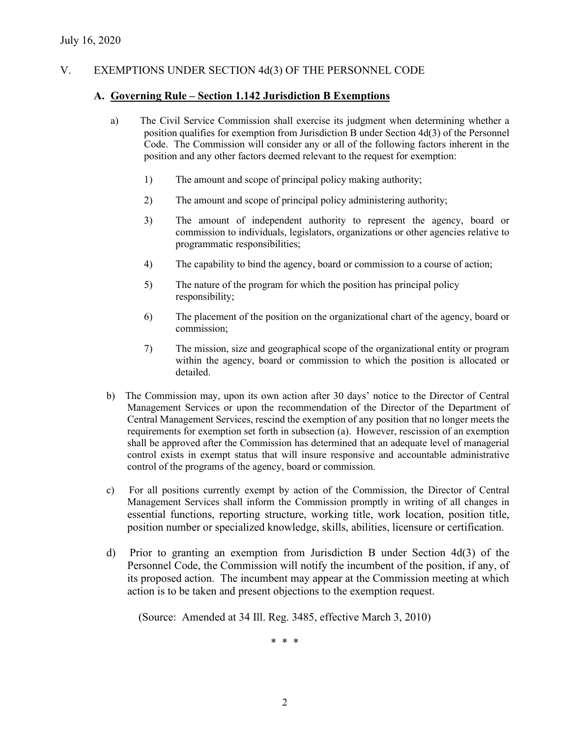# V. EXEMPTIONS UNDER SECTION 4d(3) OF THE PERSONNEL CODE

### **A. Governing Rule – Section 1.142 Jurisdiction B Exemptions**

- a) The Civil Service Commission shall exercise its judgment when determining whether a position qualifies for exemption from Jurisdiction B under Section 4d(3) of the Personnel Code. The Commission will consider any or all of the following factors inherent in the position and any other factors deemed relevant to the request for exemption:
	- 1) The amount and scope of principal policy making authority;
	- 2) The amount and scope of principal policy administering authority;
	- 3) The amount of independent authority to represent the agency, board or commission to individuals, legislators, organizations or other agencies relative to programmatic responsibilities;
	- 4) The capability to bind the agency, board or commission to a course of action;
	- 5) The nature of the program for which the position has principal policy responsibility;
	- 6) The placement of the position on the organizational chart of the agency, board or commission;
	- 7) The mission, size and geographical scope of the organizational entity or program within the agency, board or commission to which the position is allocated or detailed.
- b) The Commission may, upon its own action after 30 days' notice to the Director of Central Management Services or upon the recommendation of the Director of the Department of Central Management Services, rescind the exemption of any position that no longer meets the requirements for exemption set forth in subsection (a). However, rescission of an exemption shall be approved after the Commission has determined that an adequate level of managerial control exists in exempt status that will insure responsive and accountable administrative control of the programs of the agency, board or commission.
- c) For all positions currently exempt by action of the Commission, the Director of Central Management Services shall inform the Commission promptly in writing of all changes in essential functions, reporting structure, working title, work location, position title, position number or specialized knowledge, skills, abilities, licensure or certification.
- d) Prior to granting an exemption from Jurisdiction B under Section 4d(3) of the Personnel Code, the Commission will notify the incumbent of the position, if any, of its proposed action. The incumbent may appear at the Commission meeting at which action is to be taken and present objections to the exemption request.

(Source: Amended at 34 Ill. Reg. 3485, effective March 3, 2010)

\* \* \*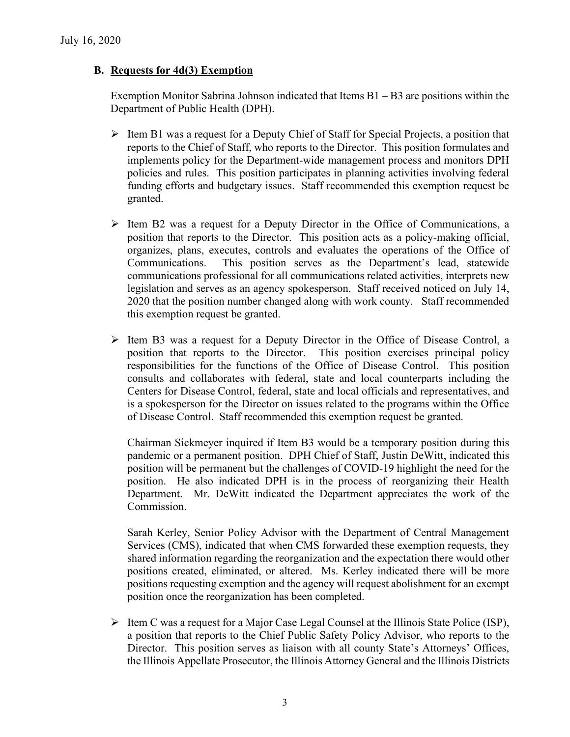# **B. Requests for 4d(3) Exemption**

Exemption Monitor Sabrina Johnson indicated that Items B1 – B3 are positions within the Department of Public Health (DPH).

- $\triangleright$  Item B1 was a request for a Deputy Chief of Staff for Special Projects, a position that reports to the Chief of Staff, who reports to the Director. This position formulates and implements policy for the Department-wide management process and monitors DPH policies and rules. This position participates in planning activities involving federal funding efforts and budgetary issues. Staff recommended this exemption request be granted.
- $\triangleright$  Item B2 was a request for a Deputy Director in the Office of Communications, a position that reports to the Director. This position acts as a policy-making official, organizes, plans, executes, controls and evaluates the operations of the Office of Communications. This position serves as the Department's lead, statewide communications professional for all communications related activities, interprets new legislation and serves as an agency spokesperson. Staff received noticed on July 14, 2020 that the position number changed along with work county. Staff recommended this exemption request be granted.
- $\triangleright$  Item B3 was a request for a Deputy Director in the Office of Disease Control, a position that reports to the Director. This position exercises principal policy responsibilities for the functions of the Office of Disease Control. This position consults and collaborates with federal, state and local counterparts including the Centers for Disease Control, federal, state and local officials and representatives, and is a spokesperson for the Director on issues related to the programs within the Office of Disease Control. Staff recommended this exemption request be granted.

Chairman Sickmeyer inquired if Item B3 would be a temporary position during this pandemic or a permanent position. DPH Chief of Staff, Justin DeWitt, indicated this position will be permanent but the challenges of COVID-19 highlight the need for the position. He also indicated DPH is in the process of reorganizing their Health Department. Mr. DeWitt indicated the Department appreciates the work of the Commission.

Sarah Kerley, Senior Policy Advisor with the Department of Central Management Services (CMS), indicated that when CMS forwarded these exemption requests, they shared information regarding the reorganization and the expectation there would other positions created, eliminated, or altered. Ms. Kerley indicated there will be more positions requesting exemption and the agency will request abolishment for an exempt position once the reorganization has been completed.

 $\triangleright$  Item C was a request for a Major Case Legal Counsel at the Illinois State Police (ISP), a position that reports to the Chief Public Safety Policy Advisor, who reports to the Director. This position serves as liaison with all county State's Attorneys' Offices, the Illinois Appellate Prosecutor, the Illinois Attorney General and the Illinois Districts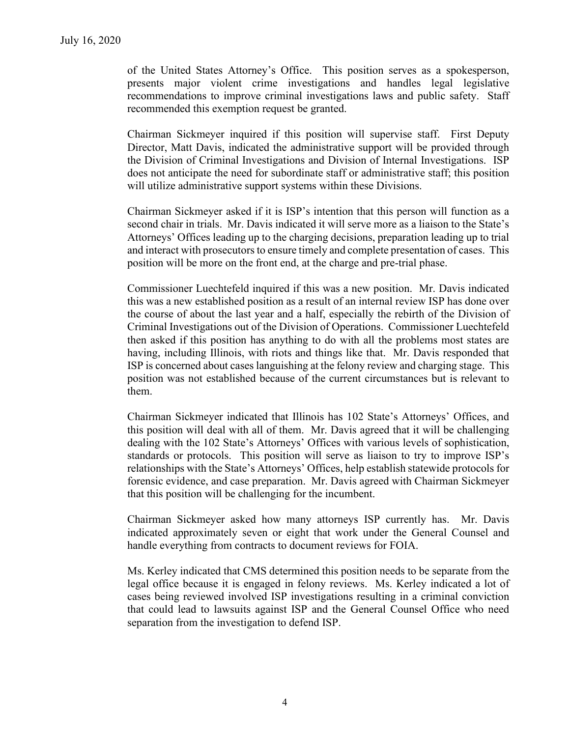of the United States Attorney's Office. This position serves as a spokesperson, presents major violent crime investigations and handles legal legislative recommendations to improve criminal investigations laws and public safety. Staff recommended this exemption request be granted.

Chairman Sickmeyer inquired if this position will supervise staff. First Deputy Director, Matt Davis, indicated the administrative support will be provided through the Division of Criminal Investigations and Division of Internal Investigations. ISP does not anticipate the need for subordinate staff or administrative staff; this position will utilize administrative support systems within these Divisions.

Chairman Sickmeyer asked if it is ISP's intention that this person will function as a second chair in trials. Mr. Davis indicated it will serve more as a liaison to the State's Attorneys' Offices leading up to the charging decisions, preparation leading up to trial and interact with prosecutors to ensure timely and complete presentation of cases. This position will be more on the front end, at the charge and pre-trial phase.

Commissioner Luechtefeld inquired if this was a new position. Mr. Davis indicated this was a new established position as a result of an internal review ISP has done over the course of about the last year and a half, especially the rebirth of the Division of Criminal Investigations out of the Division of Operations. Commissioner Luechtefeld then asked if this position has anything to do with all the problems most states are having, including Illinois, with riots and things like that. Mr. Davis responded that ISP is concerned about cases languishing at the felony review and charging stage. This position was not established because of the current circumstances but is relevant to them.

Chairman Sickmeyer indicated that Illinois has 102 State's Attorneys' Offices, and this position will deal with all of them. Mr. Davis agreed that it will be challenging dealing with the 102 State's Attorneys' Offices with various levels of sophistication, standards or protocols. This position will serve as liaison to try to improve ISP's relationships with the State's Attorneys' Offices, help establish statewide protocols for forensic evidence, and case preparation. Mr. Davis agreed with Chairman Sickmeyer that this position will be challenging for the incumbent.

Chairman Sickmeyer asked how many attorneys ISP currently has. Mr. Davis indicated approximately seven or eight that work under the General Counsel and handle everything from contracts to document reviews for FOIA.

Ms. Kerley indicated that CMS determined this position needs to be separate from the legal office because it is engaged in felony reviews. Ms. Kerley indicated a lot of cases being reviewed involved ISP investigations resulting in a criminal conviction that could lead to lawsuits against ISP and the General Counsel Office who need separation from the investigation to defend ISP.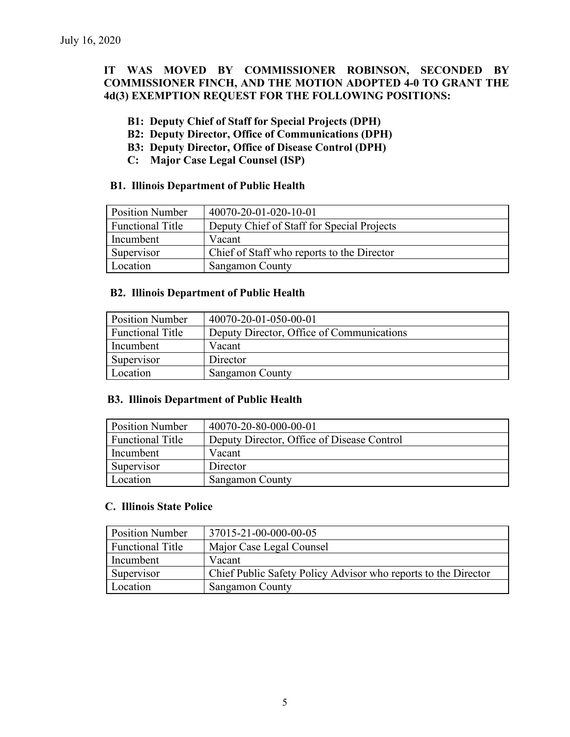# **IT WAS MOVED BY COMMISSIONER ROBINSON, SECONDED BY COMMISSIONER FINCH, AND THE MOTION ADOPTED 4-0 TO GRANT THE 4d(3) EXEMPTION REQUEST FOR THE FOLLOWING POSITIONS:**

## **B1: Deputy Chief of Staff for Special Projects (DPH)**

- **B2: Deputy Director, Office of Communications (DPH)**
- **B3: Deputy Director, Office of Disease Control (DPH)**
- **C: Major Case Legal Counsel (ISP)**

### **B1. Illinois Department of Public Health**

| <b>Position Number</b>  | 40070-20-01-020-10-01                      |
|-------------------------|--------------------------------------------|
| <b>Functional Title</b> | Deputy Chief of Staff for Special Projects |
| Incumbent               | Vacant                                     |
| Supervisor              | Chief of Staff who reports to the Director |
| Location                | <b>Sangamon County</b>                     |

#### **B2. Illinois Department of Public Health**

| <b>Position Number</b>  | 40070-20-01-050-00-01                     |
|-------------------------|-------------------------------------------|
| <b>Functional Title</b> | Deputy Director, Office of Communications |
| Incumbent               | Vacant                                    |
| Supervisor              | Director                                  |
| Location                | <b>Sangamon County</b>                    |

### **B3. Illinois Department of Public Health**

| <b>Position Number</b>  | 40070-20-80-000-00-01                      |
|-------------------------|--------------------------------------------|
| <b>Functional Title</b> | Deputy Director, Office of Disease Control |
| Incumbent               | Vacant                                     |
| Supervisor              | Director                                   |
| Location                | <b>Sangamon County</b>                     |

#### **C. Illinois State Police**

| <b>Position Number</b>  | 37015-21-00-000-00-05                                          |
|-------------------------|----------------------------------------------------------------|
| <b>Functional Title</b> | Major Case Legal Counsel                                       |
| Incumbent               | Vacant                                                         |
| Supervisor              | Chief Public Safety Policy Advisor who reports to the Director |
| Location                | <b>Sangamon County</b>                                         |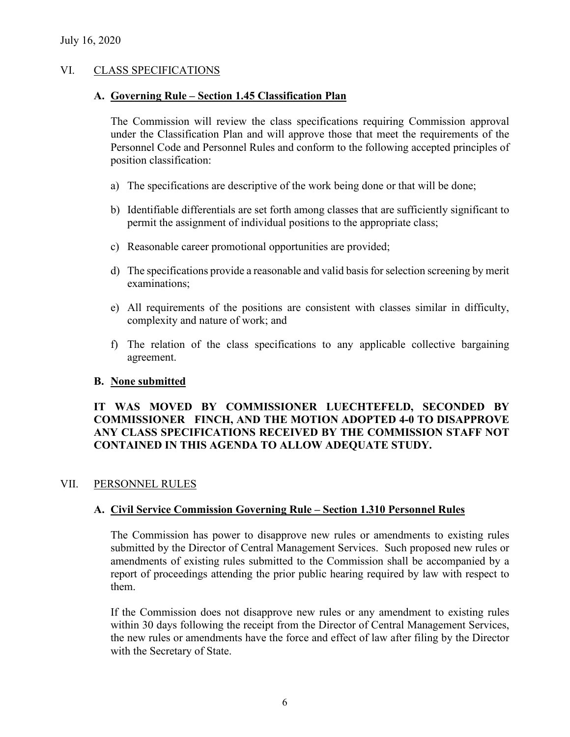## VI. CLASS SPECIFICATIONS

### **A. Governing Rule – Section 1.45 Classification Plan**

The Commission will review the class specifications requiring Commission approval under the Classification Plan and will approve those that meet the requirements of the Personnel Code and Personnel Rules and conform to the following accepted principles of position classification:

- a) The specifications are descriptive of the work being done or that will be done;
- b) Identifiable differentials are set forth among classes that are sufficiently significant to permit the assignment of individual positions to the appropriate class;
- c) Reasonable career promotional opportunities are provided;
- d) The specifications provide a reasonable and valid basis for selection screening by merit examinations;
- e) All requirements of the positions are consistent with classes similar in difficulty, complexity and nature of work; and
- f) The relation of the class specifications to any applicable collective bargaining agreement.

### **B. None submitted**

# **IT WAS MOVED BY COMMISSIONER LUECHTEFELD, SECONDED BY COMMISSIONER FINCH, AND THE MOTION ADOPTED 4-0 TO DISAPPROVE ANY CLASS SPECIFICATIONS RECEIVED BY THE COMMISSION STAFF NOT CONTAINED IN THIS AGENDA TO ALLOW ADEQUATE STUDY.**

### VII. PERSONNEL RULES

# **A. Civil Service Commission Governing Rule – Section 1.310 Personnel Rules**

The Commission has power to disapprove new rules or amendments to existing rules submitted by the Director of Central Management Services. Such proposed new rules or amendments of existing rules submitted to the Commission shall be accompanied by a report of proceedings attending the prior public hearing required by law with respect to them.

If the Commission does not disapprove new rules or any amendment to existing rules within 30 days following the receipt from the Director of Central Management Services, the new rules or amendments have the force and effect of law after filing by the Director with the Secretary of State.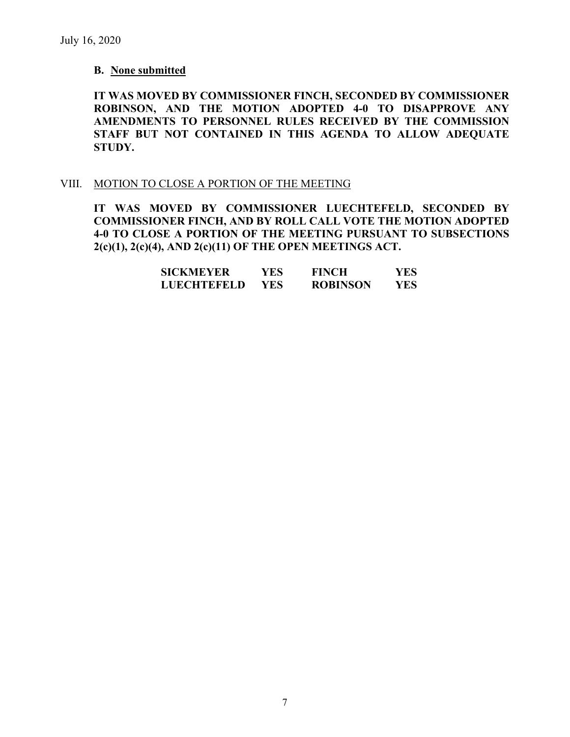### **B. None submitted**

**IT WAS MOVED BY COMMISSIONER FINCH, SECONDED BY COMMISSIONER ROBINSON, AND THE MOTION ADOPTED 4-0 TO DISAPPROVE ANY AMENDMENTS TO PERSONNEL RULES RECEIVED BY THE COMMISSION STAFF BUT NOT CONTAINED IN THIS AGENDA TO ALLOW ADEQUATE STUDY.** 

#### VIII. MOTION TO CLOSE A PORTION OF THE MEETING

**IT WAS MOVED BY COMMISSIONER LUECHTEFELD, SECONDED BY COMMISSIONER FINCH, AND BY ROLL CALL VOTE THE MOTION ADOPTED 4-0 TO CLOSE A PORTION OF THE MEETING PURSUANT TO SUBSECTIONS 2(c)(1), 2(c)(4), AND 2(c)(11) OF THE OPEN MEETINGS ACT.**

| <b>SICKMEYER</b>   | YES. | <b>FINCH</b>    | YES |
|--------------------|------|-----------------|-----|
| <b>LUECHTEFELD</b> | YES. | <b>ROBINSON</b> | YES |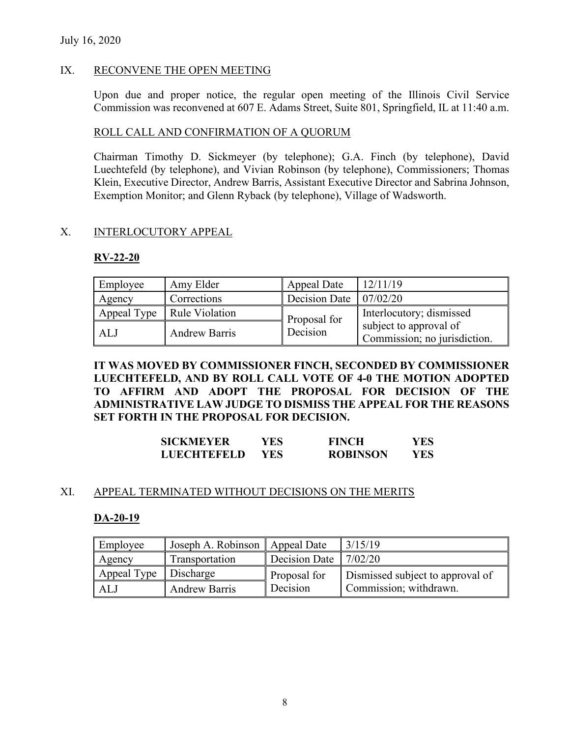### July 16, 2020

## IX. RECONVENE THE OPEN MEETING

Upon due and proper notice, the regular open meeting of the Illinois Civil Service Commission was reconvened at 607 E. Adams Street, Suite 801, Springfield, IL at 11:40 a.m.

### ROLL CALL AND CONFIRMATION OF A QUORUM

Chairman Timothy D. Sickmeyer (by telephone); G.A. Finch (by telephone), David Luechtefeld (by telephone), and Vivian Robinson (by telephone), Commissioners; Thomas Klein, Executive Director, Andrew Barris, Assistant Executive Director and Sabrina Johnson, Exemption Monitor; and Glenn Ryback (by telephone), Village of Wadsworth.

## X. INTERLOCUTORY APPEAL

## **RV-22-20**

| Employee | Amy Elder                    | Appeal Date                          | 12/11/19                                               |
|----------|------------------------------|--------------------------------------|--------------------------------------------------------|
| Agency   | Corrections                  | Decision Date $\vert 07/02/20 \vert$ |                                                        |
|          | Appeal Type   Rule Violation | Proposal for                         | Interlocutory; dismissed                               |
| ALJ      | <b>Andrew Barris</b>         | Decision                             | subject to approval of<br>Commission; no jurisdiction. |

**IT WAS MOVED BY COMMISSIONER FINCH, SECONDED BY COMMISSIONER LUECHTEFELD, AND BY ROLL CALL VOTE OF 4-0 THE MOTION ADOPTED TO AFFIRM AND ADOPT THE PROPOSAL FOR DECISION OF THE ADMINISTRATIVE LAW JUDGE TO DISMISS THE APPEAL FOR THE REASONS SET FORTH IN THE PROPOSAL FOR DECISION.**

| <b>SICKMEYER</b>   | YES | <b>FINCH</b>    | YES  |
|--------------------|-----|-----------------|------|
| <b>LUECHTEFELD</b> | YES | <b>ROBINSON</b> | YES. |

### XI. APPEAL TERMINATED WITHOUT DECISIONS ON THE MERITS

### **DA-20-19**

| Employee              | Joseph A. Robinson   | Appeal Date                         | 3/15/19                          |
|-----------------------|----------------------|-------------------------------------|----------------------------------|
| Agency                | Transportation       | Decision Date $\vert 7/02/20 \vert$ |                                  |
| Appeal Type Discharge |                      | Proposal for                        | Dismissed subject to approval of |
| ALJ                   | <b>Andrew Barris</b> | Decision                            | Commission; withdrawn.           |